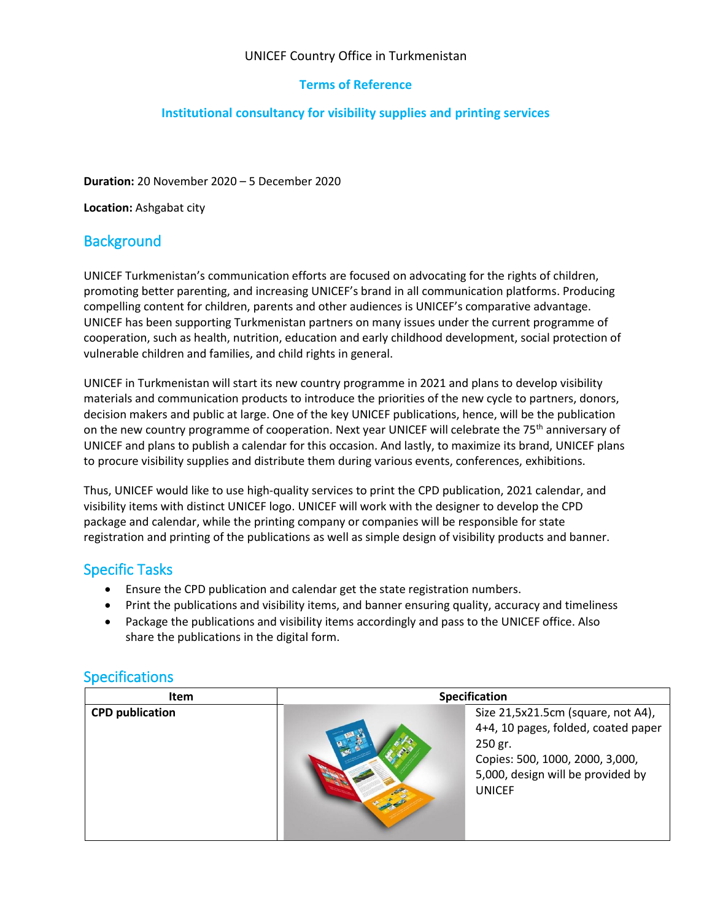#### UNICEF Country Office in Turkmenistan

#### **Terms of Reference**

#### **Institutional consultancy for visibility supplies and printing services**

**Duration:** 20 November 2020 – 5 December 2020

**Location:** Ashgabat city

## **Background**

UNICEF Turkmenistan's communication efforts are focused on advocating for the rights of children, promoting better parenting, and increasing UNICEF's brand in all communication platforms. Producing compelling content for children, parents and other audiences is UNICEF's comparative advantage. UNICEF has been supporting Turkmenistan partners on many issues under the current programme of cooperation, such as health, nutrition, education and early childhood development, social protection of vulnerable children and families, and child rights in general.

UNICEF in Turkmenistan will start its new country programme in 2021 and plans to develop visibility materials and communication products to introduce the priorities of the new cycle to partners, donors, decision makers and public at large. One of the key UNICEF publications, hence, will be the publication on the new country programme of cooperation. Next year UNICEF will celebrate the 75<sup>th</sup> anniversary of UNICEF and plans to publish a calendar for this occasion. And lastly, to maximize its brand, UNICEF plans to procure visibility supplies and distribute them during various events, conferences, exhibitions.

Thus, UNICEF would like to use high-quality services to print the CPD publication, 2021 calendar, and visibility items with distinct UNICEF logo. UNICEF will work with the designer to develop the CPD package and calendar, while the printing company or companies will be responsible for state registration and printing of the publications as well as simple design of visibility products and banner.

## Specific Tasks

- Ensure the CPD publication and calendar get the state registration numbers.
- Print the publications and visibility items, and banner ensuring quality, accuracy and timeliness
- Package the publications and visibility items accordingly and pass to the UNICEF office. Also share the publications in the digital form.

#### **Specifications**

| Item                   | Specification |                                                                                                                                                                               |
|------------------------|---------------|-------------------------------------------------------------------------------------------------------------------------------------------------------------------------------|
| <b>CPD publication</b> |               | Size 21,5x21.5cm (square, not A4),<br>4+4, 10 pages, folded, coated paper<br>250 gr.<br>Copies: 500, 1000, 2000, 3,000,<br>5,000, design will be provided by<br><b>UNICEF</b> |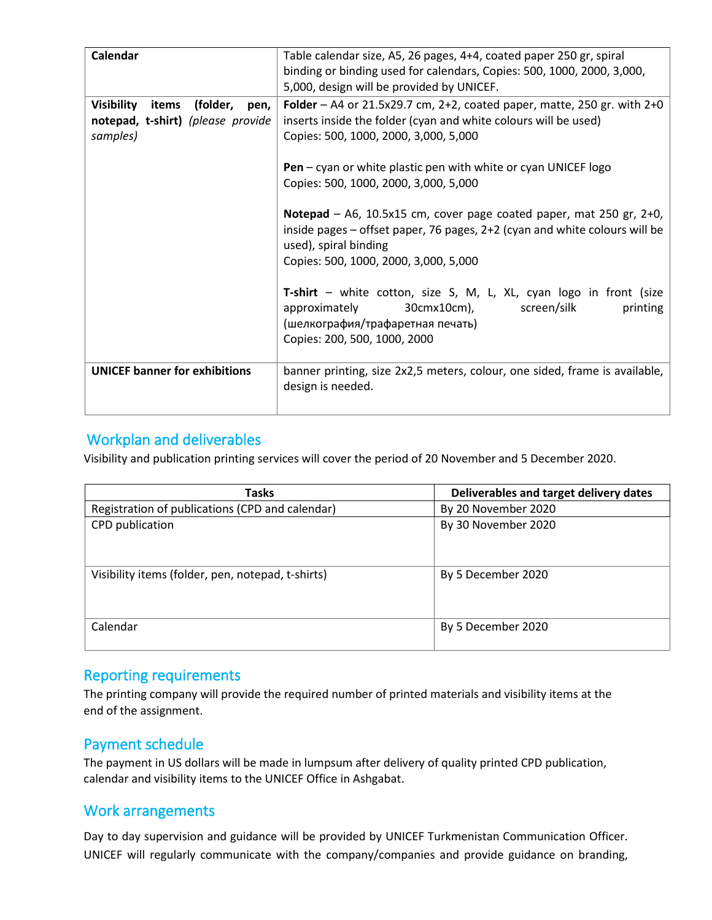| Calendar                                                                                        | Table calendar size, A5, 26 pages, 4+4, coated paper 250 gr, spiral<br>binding or binding used for calendars, Copies: 500, 1000, 2000, 3,000,<br>5,000, design will be provided by UNICEF.                             |  |
|-------------------------------------------------------------------------------------------------|------------------------------------------------------------------------------------------------------------------------------------------------------------------------------------------------------------------------|--|
| <b>Visibility</b><br>(folder,<br>items<br>pen,<br>notepad, t-shirt) (please provide<br>samples) | Folder – A4 or 21.5x29.7 cm, 2+2, coated paper, matte, 250 gr. with 2+0<br>inserts inside the folder (cyan and white colours will be used)<br>Copies: 500, 1000, 2000, 3,000, 5,000                                    |  |
|                                                                                                 | <b>Pen</b> – cyan or white plastic pen with white or cyan UNICEF logo<br>Copies: 500, 1000, 2000, 3,000, 5,000                                                                                                         |  |
|                                                                                                 | Notepad – A6, 10.5x15 cm, cover page coated paper, mat 250 gr, $2+0$ ,<br>inside pages – offset paper, 76 pages, 2+2 (cyan and white colours will be<br>used), spiral binding<br>Copies: 500, 1000, 2000, 3,000, 5,000 |  |
|                                                                                                 | T-shirt – white cotton, size S, M, L, XL, cyan logo in front (size<br>approximately<br>30cmx10cm), screen/silk<br>printing<br>(шелкография/трафаретная печать)<br>Copies: 200, 500, 1000, 2000                         |  |
| <b>UNICEF banner for exhibitions</b>                                                            | banner printing, size 2x2,5 meters, colour, one sided, frame is available,<br>design is needed.                                                                                                                        |  |

# Workplan and deliverables

Visibility and publication printing services will cover the period of 20 November and 5 December 2020.

| <b>Tasks</b>                                      | Deliverables and target delivery dates |
|---------------------------------------------------|----------------------------------------|
| Registration of publications (CPD and calendar)   | By 20 November 2020                    |
| CPD publication                                   | By 30 November 2020                    |
| Visibility items (folder, pen, notepad, t-shirts) | By 5 December 2020                     |
| Calendar                                          | By 5 December 2020                     |

## Reporting requirements

The printing company will provide the required number of printed materials and visibility items at the end of the assignment.

## Payment schedule

The payment in US dollars will be made in lumpsum after delivery of quality printed CPD publication, calendar and visibility items to the UNICEF Office in Ashgabat.

## Work arrangements

Day to day supervision and guidance will be provided by UNICEF Turkmenistan Communication Officer. UNICEF will regularly communicate with the company/companies and provide guidance on branding,